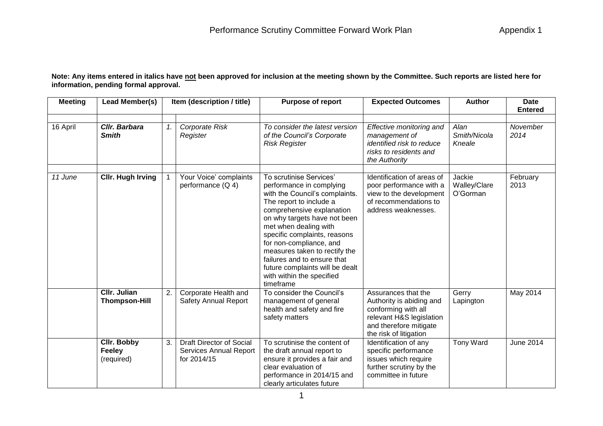**Note: Any items entered in italics have not been approved for inclusion at the meeting shown by the Committee. Such reports are listed here for information, pending formal approval.**

| <b>Meeting</b> | Lead Member(s)                                    | Item (description / title) |                                                                   | <b>Purpose of report</b>                                                                                                                                                                                                                                                                                                                                                                                       | <b>Expected Outcomes</b>                                                                                                                               | <b>Author</b>                      | <b>Date</b><br><b>Entered</b> |  |
|----------------|---------------------------------------------------|----------------------------|-------------------------------------------------------------------|----------------------------------------------------------------------------------------------------------------------------------------------------------------------------------------------------------------------------------------------------------------------------------------------------------------------------------------------------------------------------------------------------------------|--------------------------------------------------------------------------------------------------------------------------------------------------------|------------------------------------|-------------------------------|--|
| 16 April       | Cllr. Barbara<br><b>Smith</b>                     | $\mathbf{1}$ .             | Corporate Risk<br>Register                                        | To consider the latest version<br>of the Council's Corporate<br><b>Risk Register</b>                                                                                                                                                                                                                                                                                                                           | Effective monitoring and<br>management of<br>identified risk to reduce<br>risks to residents and<br>the Authority                                      | Alan<br>Smith/Nicola<br>Kneale     | November<br>2014              |  |
| 11 June        | <b>Cllr. Hugh Irving</b>                          |                            | Your Voice' complaints<br>performance (Q 4)                       | To scrutinise Services'<br>performance in complying<br>with the Council's complaints.<br>The report to include a<br>comprehensive explanation<br>on why targets have not been<br>met when dealing with<br>specific complaints, reasons<br>for non-compliance, and<br>measures taken to rectify the<br>failures and to ensure that<br>future complaints will be dealt<br>with within the specified<br>timeframe | Identification of areas of<br>poor performance with a<br>view to the development<br>of recommendations to<br>address weaknesses.                       | Jackie<br>Walley/Clare<br>O'Gorman | February<br>2013              |  |
|                | <b>CIIr. Julian</b><br><b>Thompson-Hill</b>       | 2.                         | Corporate Health and<br><b>Safety Annual Report</b>               | To consider the Council's<br>management of general<br>health and safety and fire<br>safety matters                                                                                                                                                                                                                                                                                                             | Assurances that the<br>Authority is abiding and<br>conforming with all<br>relevant H&S legislation<br>and therefore mitigate<br>the risk of litigation | Gerry<br>Lapington                 | May 2014                      |  |
|                | <b>Cllr. Bobby</b><br><b>Feeley</b><br>(required) | 3.                         | Draft Director of Social<br>Services Annual Report<br>for 2014/15 | To scrutinise the content of<br>the draft annual report to<br>ensure it provides a fair and<br>clear evaluation of<br>performance in 2014/15 and<br>clearly articulates future                                                                                                                                                                                                                                 | Identification of any<br>specific performance<br>issues which require<br>further scrutiny by the<br>committee in future                                | <b>Tony Ward</b>                   | June 2014                     |  |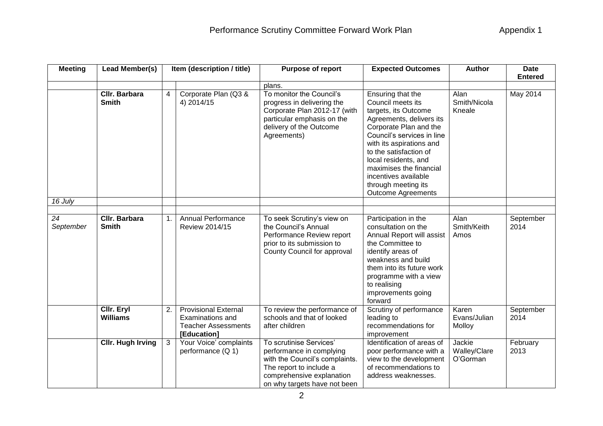| <b>Meeting</b>  | Lead Member(s)                |                | Item (description / title)                                                                          | <b>Purpose of report</b>                                                                                                                                                      | <b>Expected Outcomes</b>                                                                                                                                                                                                                                                                                                                | <b>Author</b>                      | <b>Date</b><br><b>Entered</b> |
|-----------------|-------------------------------|----------------|-----------------------------------------------------------------------------------------------------|-------------------------------------------------------------------------------------------------------------------------------------------------------------------------------|-----------------------------------------------------------------------------------------------------------------------------------------------------------------------------------------------------------------------------------------------------------------------------------------------------------------------------------------|------------------------------------|-------------------------------|
|                 |                               |                |                                                                                                     | plans.                                                                                                                                                                        |                                                                                                                                                                                                                                                                                                                                         |                                    |                               |
|                 | Cllr. Barbara<br><b>Smith</b> | 4              | Corporate Plan (Q3 &<br>4) 2014/15                                                                  | To monitor the Council's<br>progress in delivering the<br>Corporate Plan 2012-17 (with<br>particular emphasis on the<br>delivery of the Outcome<br>Agreements)                | Ensuring that the<br>Council meets its<br>targets, its Outcome<br>Agreements, delivers its<br>Corporate Plan and the<br>Council's services in line<br>with its aspirations and<br>to the satisfaction of<br>local residents, and<br>maximises the financial<br>incentives available<br>through meeting its<br><b>Outcome Agreements</b> | Alan<br>Smith/Nicola<br>Kneale     | May 2014                      |
| 16 July         |                               |                |                                                                                                     |                                                                                                                                                                               |                                                                                                                                                                                                                                                                                                                                         |                                    |                               |
|                 |                               |                |                                                                                                     |                                                                                                                                                                               |                                                                                                                                                                                                                                                                                                                                         |                                    |                               |
| 24<br>September | Cllr. Barbara<br><b>Smith</b> | 1.             | <b>Annual Performance</b><br>Review 2014/15                                                         | To seek Scrutiny's view on<br>the Council's Annual<br>Performance Review report<br>prior to its submission to<br>County Council for approval                                  | Participation in the<br>consultation on the<br>Annual Report will assist<br>the Committee to<br>identify areas of<br>weakness and build<br>them into its future work<br>programme with a view<br>to realising<br>improvements going<br>forward                                                                                          | Alan<br>Smith/Keith<br>Amos        | September<br>2014             |
|                 | Cllr. Eryl<br><b>Williams</b> | 2.             | <b>Provisional External</b><br><b>Examinations and</b><br><b>Teacher Assessments</b><br>[Education] | To review the performance of<br>schools and that of looked<br>after children                                                                                                  | Scrutiny of performance<br>leading to<br>recommendations for<br>improvement                                                                                                                                                                                                                                                             | Karen<br>Evans/Julian<br>Molloy    | September<br>2014             |
|                 | <b>Cllr. Hugh Irving</b>      | 3 <sup>1</sup> | Your Voice' complaints<br>performance (Q 1)                                                         | To scrutinise Services'<br>performance in complying<br>with the Council's complaints.<br>The report to include a<br>comprehensive explanation<br>on why targets have not been | Identification of areas of<br>poor performance with a<br>view to the development<br>of recommendations to<br>address weaknesses.                                                                                                                                                                                                        | Jackie<br>Walley/Clare<br>O'Gorman | February<br>2013              |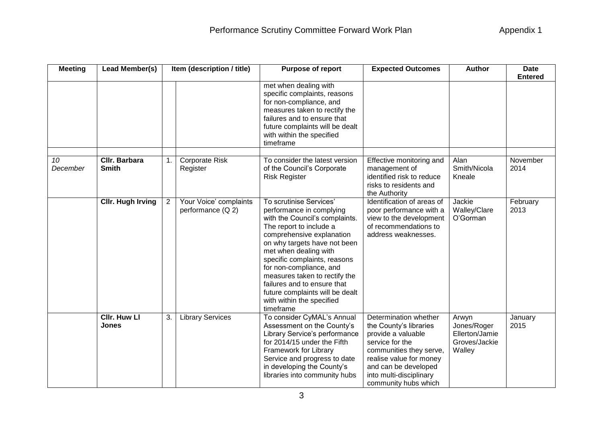| <b>Meeting</b> | Lead Member(s)                      |                | Item (description / title)                  | <b>Purpose of report</b>                                                                                                                                                                                                                                                                                                                                                                                       | <b>Expected Outcomes</b>                                                                                                                                                                                                  | <b>Author</b>                                                     | <b>Date</b><br><b>Entered</b> |
|----------------|-------------------------------------|----------------|---------------------------------------------|----------------------------------------------------------------------------------------------------------------------------------------------------------------------------------------------------------------------------------------------------------------------------------------------------------------------------------------------------------------------------------------------------------------|---------------------------------------------------------------------------------------------------------------------------------------------------------------------------------------------------------------------------|-------------------------------------------------------------------|-------------------------------|
|                |                                     |                |                                             | met when dealing with<br>specific complaints, reasons<br>for non-compliance, and<br>measures taken to rectify the<br>failures and to ensure that<br>future complaints will be dealt<br>with within the specified<br>timeframe                                                                                                                                                                                  |                                                                                                                                                                                                                           |                                                                   |                               |
| 10<br>December | Cllr. Barbara<br><b>Smith</b>       | 1.             | Corporate Risk<br>Register                  | To consider the latest version<br>of the Council's Corporate<br><b>Risk Register</b>                                                                                                                                                                                                                                                                                                                           | Effective monitoring and<br>management of<br>identified risk to reduce<br>risks to residents and<br>the Authority                                                                                                         | Alan<br>Smith/Nicola<br>Kneale                                    | November<br>2014              |
|                | <b>Cllr. Hugh Irving</b>            | $\overline{2}$ | Your Voice' complaints<br>performance (Q 2) | To scrutinise Services'<br>performance in complying<br>with the Council's complaints.<br>The report to include a<br>comprehensive explanation<br>on why targets have not been<br>met when dealing with<br>specific complaints, reasons<br>for non-compliance, and<br>measures taken to rectify the<br>failures and to ensure that<br>future complaints will be dealt<br>with within the specified<br>timeframe | Identification of areas of<br>poor performance with a<br>view to the development<br>of recommendations to<br>address weaknesses.                                                                                          | Jackie<br>Walley/Clare<br>O'Gorman                                | February<br>2013              |
|                | <b>Cllr. Huw Ll</b><br><b>Jones</b> | 3.             | <b>Library Services</b>                     | To consider CyMAL's Annual<br>Assessment on the County's<br>Library Service's performance<br>for 2014/15 under the Fifth<br>Framework for Library<br>Service and progress to date<br>in developing the County's<br>libraries into community hubs                                                                                                                                                               | Determination whether<br>the County's libraries<br>provide a valuable<br>service for the<br>communities they serve,<br>realise value for money<br>and can be developed<br>into multi-disciplinary<br>community hubs which | Arwyn<br>Jones/Roger<br>Ellerton/Jamie<br>Groves/Jackie<br>Walley | January<br>2015               |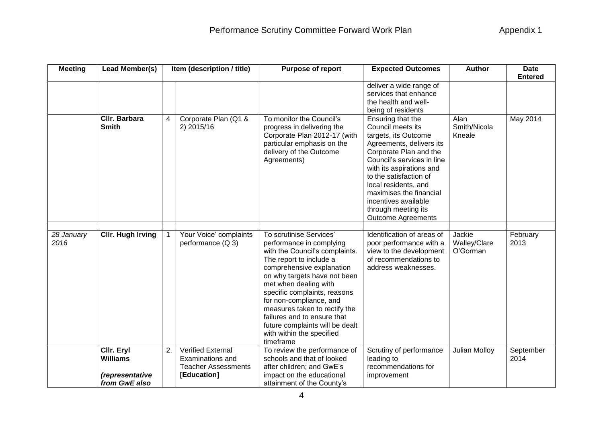| <b>Meeting</b>     | Lead Member(s)                                                    |                | Item (description / title)                                                                | <b>Purpose of report</b>                                                                                                                                                                                                                                                                                                                                                                                       | <b>Expected Outcomes</b>                                                                                                                                                                                                                                                                                                                | <b>Author</b>                      | <b>Date</b><br><b>Entered</b> |
|--------------------|-------------------------------------------------------------------|----------------|-------------------------------------------------------------------------------------------|----------------------------------------------------------------------------------------------------------------------------------------------------------------------------------------------------------------------------------------------------------------------------------------------------------------------------------------------------------------------------------------------------------------|-----------------------------------------------------------------------------------------------------------------------------------------------------------------------------------------------------------------------------------------------------------------------------------------------------------------------------------------|------------------------------------|-------------------------------|
|                    |                                                                   |                |                                                                                           |                                                                                                                                                                                                                                                                                                                                                                                                                | deliver a wide range of<br>services that enhance<br>the health and well-<br>being of residents                                                                                                                                                                                                                                          |                                    |                               |
|                    | Cllr. Barbara<br><b>Smith</b>                                     | $\overline{4}$ | Corporate Plan (Q1 &<br>2) 2015/16                                                        | To monitor the Council's<br>progress in delivering the<br>Corporate Plan 2012-17 (with<br>particular emphasis on the<br>delivery of the Outcome<br>Agreements)                                                                                                                                                                                                                                                 | Ensuring that the<br>Council meets its<br>targets, its Outcome<br>Agreements, delivers its<br>Corporate Plan and the<br>Council's services in line<br>with its aspirations and<br>to the satisfaction of<br>local residents, and<br>maximises the financial<br>incentives available<br>through meeting its<br><b>Outcome Agreements</b> | Alan<br>Smith/Nicola<br>Kneale     | <b>May 2014</b>               |
| 28 January<br>2016 | <b>Cllr. Hugh Irving</b>                                          |                | Your Voice' complaints<br>performance (Q 3)                                               | To scrutinise Services'<br>performance in complying<br>with the Council's complaints.<br>The report to include a<br>comprehensive explanation<br>on why targets have not been<br>met when dealing with<br>specific complaints, reasons<br>for non-compliance, and<br>measures taken to rectify the<br>failures and to ensure that<br>future complaints will be dealt<br>with within the specified<br>timeframe | Identification of areas of<br>poor performance with a<br>view to the development<br>of recommendations to<br>address weaknesses.                                                                                                                                                                                                        | Jackie<br>Walley/Clare<br>O'Gorman | February<br>2013              |
|                    | Cllr. Eryl<br><b>Williams</b><br>(representative<br>from GwE also | 2.             | <b>Verified External</b><br>Examinations and<br><b>Teacher Assessments</b><br>[Education] | To review the performance of<br>schools and that of looked<br>after children; and GwE's<br>impact on the educational<br>attainment of the County's                                                                                                                                                                                                                                                             | Scrutiny of performance<br>leading to<br>recommendations for<br>improvement                                                                                                                                                                                                                                                             | <b>Julian Molloy</b>               | September<br>2014             |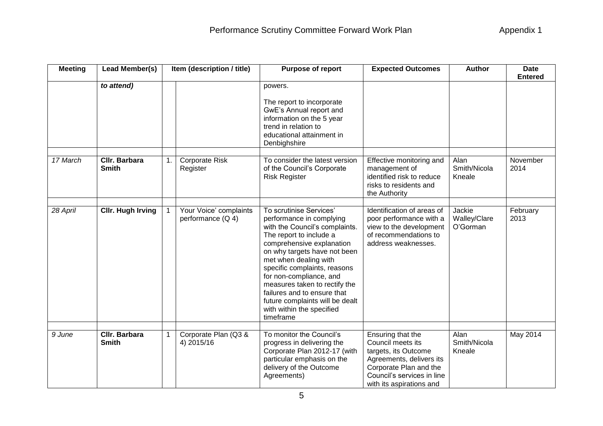| <b>Meeting</b> | Lead Member(s)                       |    | Item (description / title)                  | <b>Purpose of report</b>                                                                                                                                                                                                                                                                                                                                                                                       | <b>Expected Outcomes</b>                                                                                                                                                       | <b>Author</b>                      | <b>Date</b><br><b>Entered</b> |
|----------------|--------------------------------------|----|---------------------------------------------|----------------------------------------------------------------------------------------------------------------------------------------------------------------------------------------------------------------------------------------------------------------------------------------------------------------------------------------------------------------------------------------------------------------|--------------------------------------------------------------------------------------------------------------------------------------------------------------------------------|------------------------------------|-------------------------------|
|                | to attend)                           |    |                                             | powers.<br>The report to incorporate<br>GwE's Annual report and<br>information on the 5 year<br>trend in relation to<br>educational attainment in<br>Denbighshire                                                                                                                                                                                                                                              |                                                                                                                                                                                |                                    |                               |
| 17 March       | Cllr. Barbara<br><b>Smith</b>        | 1. | Corporate Risk<br>Register                  | To consider the latest version<br>of the Council's Corporate<br><b>Risk Register</b>                                                                                                                                                                                                                                                                                                                           | Effective monitoring and<br>management of<br>identified risk to reduce<br>risks to residents and<br>the Authority                                                              | Alan<br>Smith/Nicola<br>Kneale     | November<br>2014              |
| 28 April       | <b>Cllr. Hugh Irving</b>             |    | Your Voice' complaints<br>performance (Q 4) | To scrutinise Services'<br>performance in complying<br>with the Council's complaints.<br>The report to include a<br>comprehensive explanation<br>on why targets have not been<br>met when dealing with<br>specific complaints, reasons<br>for non-compliance, and<br>measures taken to rectify the<br>failures and to ensure that<br>future complaints will be dealt<br>with within the specified<br>timeframe | Identification of areas of<br>poor performance with a<br>view to the development<br>of recommendations to<br>address weaknesses.                                               | Jackie<br>Walley/Clare<br>O'Gorman | February<br>2013              |
| 9 June         | <b>Cllr. Barbara</b><br><b>Smith</b> |    | Corporate Plan (Q3 &<br>4) 2015/16          | To monitor the Council's<br>progress in delivering the<br>Corporate Plan 2012-17 (with<br>particular emphasis on the<br>delivery of the Outcome<br>Agreements)                                                                                                                                                                                                                                                 | Ensuring that the<br>Council meets its<br>targets, its Outcome<br>Agreements, delivers its<br>Corporate Plan and the<br>Council's services in line<br>with its aspirations and | Alan<br>Smith/Nicola<br>Kneale     | May 2014                      |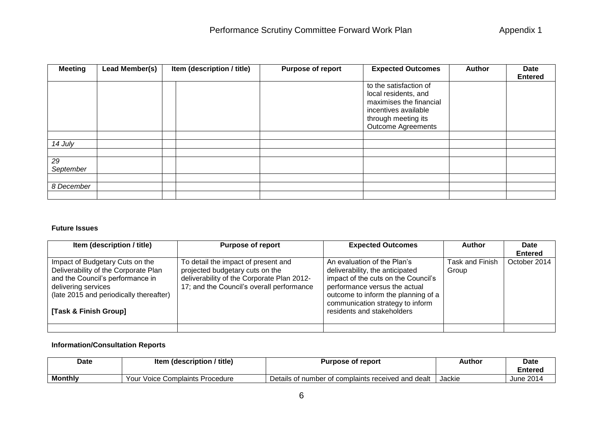| <b>Meeting</b>  | Lead Member(s) | Item (description / title) | Purpose of report | <b>Expected Outcomes</b>                                                                                                                              | <b>Author</b> | <b>Date</b><br><b>Entered</b> |
|-----------------|----------------|----------------------------|-------------------|-------------------------------------------------------------------------------------------------------------------------------------------------------|---------------|-------------------------------|
|                 |                |                            |                   | to the satisfaction of<br>local residents, and<br>maximises the financial<br>incentives available<br>through meeting its<br><b>Outcome Agreements</b> |               |                               |
|                 |                |                            |                   |                                                                                                                                                       |               |                               |
| 14 July         |                |                            |                   |                                                                                                                                                       |               |                               |
|                 |                |                            |                   |                                                                                                                                                       |               |                               |
| 29<br>September |                |                            |                   |                                                                                                                                                       |               |                               |
|                 |                |                            |                   |                                                                                                                                                       |               |                               |
| 8 December      |                |                            |                   |                                                                                                                                                       |               |                               |
|                 |                |                            |                   |                                                                                                                                                       |               |                               |

## **Future Issues**

| Item (description / title)                                                                                                                                                                             | <b>Purpose of report</b>                                                                                                                                          | <b>Expected Outcomes</b>                                                                                                                                                                                                                        | <b>Author</b>                   | Date           |
|--------------------------------------------------------------------------------------------------------------------------------------------------------------------------------------------------------|-------------------------------------------------------------------------------------------------------------------------------------------------------------------|-------------------------------------------------------------------------------------------------------------------------------------------------------------------------------------------------------------------------------------------------|---------------------------------|----------------|
|                                                                                                                                                                                                        |                                                                                                                                                                   |                                                                                                                                                                                                                                                 |                                 | <b>Entered</b> |
| Impact of Budgetary Cuts on the<br>Deliverability of the Corporate Plan<br>and the Council's performance in<br>delivering services<br>(late 2015 and periodically thereafter)<br>[Task & Finish Group] | To detail the impact of present and<br>projected budgetary cuts on the<br>deliverability of the Corporate Plan 2012-<br>17; and the Council's overall performance | An evaluation of the Plan's<br>deliverability, the anticipated<br>impact of the cuts on the Council's<br>performance versus the actual<br>outcome to inform the planning of a<br>communication strategy to inform<br>residents and stakeholders | <b>Task and Finish</b><br>Group | October 2014   |
|                                                                                                                                                                                                        |                                                                                                                                                                   |                                                                                                                                                                                                                                                 |                                 |                |

## **Information/Consultation Reports**

| Date           | ′ title`<br>ן (description)<br>ltem | Purpose of report                                  | <b>Author</b> | Date      |
|----------------|-------------------------------------|----------------------------------------------------|---------------|-----------|
|                |                                     |                                                    |               | Entered   |
| <b>Monthly</b> | Voice Complaints Procedure<br>Your  | Details of number of complaints received and dealt | Jackie        | June 2014 |